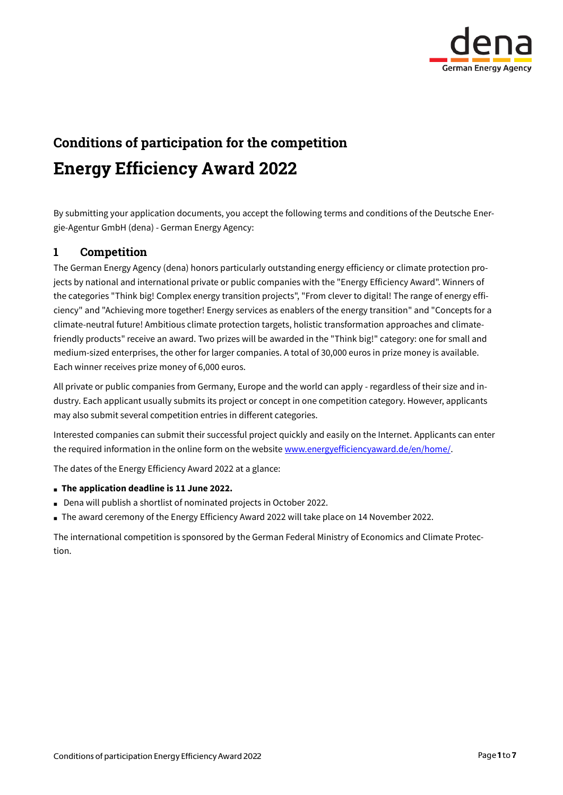

# Conditions of participation for the competition Energy Efficiency Award 2022

By submitting your application documents, you accept the following terms and conditions of the Deutsche Energie-Agentur GmbH (dena) - German Energy Agency:

## 1 Competition

The German Energy Agency (dena) honors particularly outstanding energy efficiency or climate protection projects by national and international private or public companies with the "Energy Efficiency Award". Winners of the categories "Think big! Complex energy transition projects", "From clever to digital! The range of energy efficiency" and "Achieving more together! Energy services as enablers of the energy transition" and "Concepts for a climate-neutral future! Ambitious climate protection targets, holistic transformation approaches and climatefriendly products" receive an award. Two prizes will be awarded in the "Think big!" category: one for small and medium-sized enterprises, the other for larger companies. A total of 30,000 euros in prize money is available. Each winner receives prize money of 6,000 euros.

All private or public companies from Germany, Europe and the world can apply - regardless of their size and industry. Each applicant usually submits its project or concept in one competition category. However, applicants may also submit several competition entries in different categories.

Interested companies can submit their successful project quickly and easily on the Internet. Applicants can enter the required information in the online form on the websit[e www.energyefficiencyaward.de/en/home/.](http://www.energyefficiencyaward.de/en/home/)

The dates of the Energy Efficiency Award 2022 at a glance:

#### **The application deadline is 11 June 2022.**

- Dena will publish a shortlist of nominated projects in October 2022.
- The award ceremony of the Energy Efficiency Award 2022 will take place on 14 November 2022.

The international competition is sponsored by the German Federal Ministry of Economics and Climate Protection.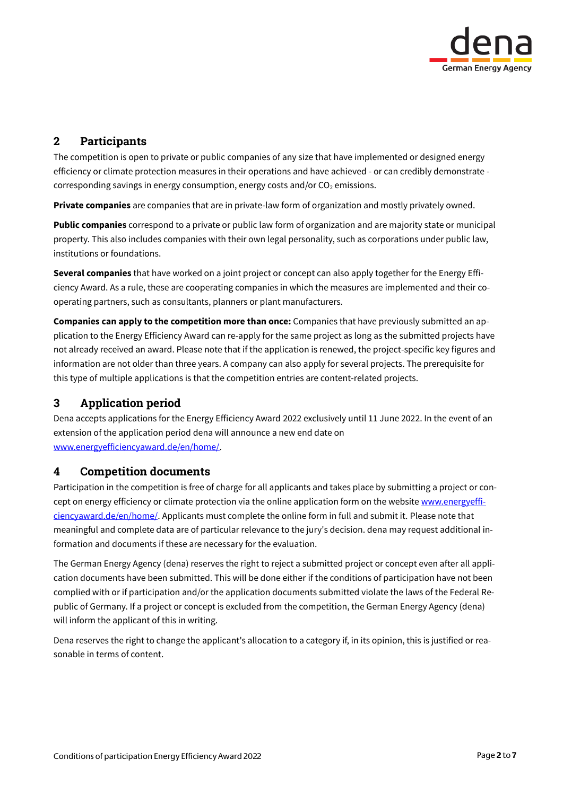

# 2 Participants

The competition is open to private or public companies of any size that have implemented or designed energy efficiency or climate protection measures in their operations and have achieved - or can credibly demonstrate corresponding savings in energy consumption, energy costs and/or  $CO<sub>2</sub>$  emissions.

**Private companies** are companies that are in private-law form of organization and mostly privately owned.

**Public companies** correspond to a private or public law form of organization and are majority state or municipal property. This also includes companies with their own legal personality, such as corporations under public law, institutions or foundations.

**Several companies** that have worked on a joint project or concept can also apply together for the Energy Efficiency Award. As a rule, these are cooperating companies in which the measures are implemented and their cooperating partners, such as consultants, planners or plant manufacturers.

**Companies can apply to the competition more than once:** Companies that have previously submitted an application to the Energy Efficiency Award can re-apply for the same project as long as the submitted projects have not already received an award. Please note that if the application is renewed, the project-specific key figures and information are not older than three years. A company can also apply for several projects. The prerequisite for this type of multiple applications is that the competition entries are content-related projects.

# 3 Application period

Dena accepts applications for the Energy Efficiency Award 2022 exclusively until 11 June 2022. In the event of an extension of the application period dena will announce a new end date on [www.energyefficiencyaward.de/en/home/.](http://www.energyefficiencyaward.de/en/home/)

# 4 Competition documents

Participation in the competition is free of charge for all applicants and takes place by submitting a project or concept on energy efficiency or climate protection via the online application form on the websit[e www.energyeffi](http://www.energyefficiencyaward.de/en/home/)[ciencyaward.de/en/home/.](http://www.energyefficiencyaward.de/en/home/) Applicants must complete the online form in full and submit it. Please note that meaningful and complete data are of particular relevance to the jury's decision. dena may request additional information and documents if these are necessary for the evaluation.

The German Energy Agency (dena) reserves the right to reject a submitted project or concept even after all application documents have been submitted. This will be done either if the conditions of participation have not been complied with or if participation and/or the application documents submitted violate the laws of the Federal Republic of Germany. If a project or concept is excluded from the competition, the German Energy Agency (dena) will inform the applicant of this in writing.

Dena reserves the right to change the applicant's allocation to a category if, in its opinion, this is justified or reasonable in terms of content.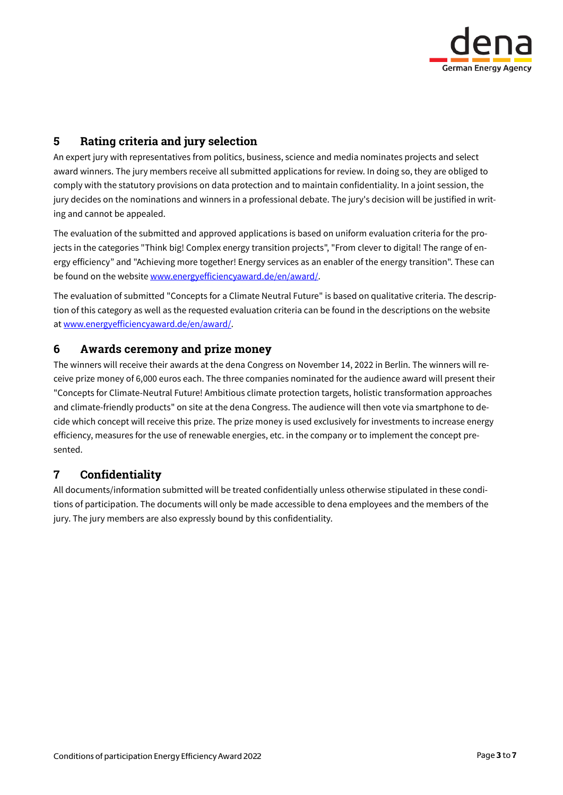

# 5 Rating criteria and jury selection

An expert jury with representatives from politics, business, science and media nominates projects and select award winners. The jury members receive all submitted applications for review. In doing so, they are obliged to comply with the statutory provisions on data protection and to maintain confidentiality. In a joint session, the jury decides on the nominations and winners in a professional debate. The jury's decision will be justified in writing and cannot be appealed.

The evaluation of the submitted and approved applications is based on uniform evaluation criteria for the projects in the categories "Think big! Complex energy transition projects", "From clever to digital! The range of energy efficiency" and "Achieving more together! Energy services as an enabler of the energy transition". These can be found on the websit[e www.energyefficiencyaward.de/en/award/.](http://www.energyefficiencyaward.de/en/award/)

The evaluation of submitted "Concepts for a Climate Neutral Future" is based on qualitative criteria. The description of this category as well as the requested evaluation criteria can be found in the descriptions on the website a[t www.energyefficiencyaward.de/en/award/.](http://www.energyefficiencyaward.de/en/award/)

## 6 Awards ceremony and prize money

The winners will receive their awards at the dena Congress on November 14, 2022 in Berlin. The winners will receive prize money of 6,000 euros each. The three companies nominated for the audience award will present their "Concepts for Climate-Neutral Future! Ambitious climate protection targets, holistic transformation approaches and climate-friendly products" on site at the dena Congress. The audience will then vote via smartphone to decide which concept will receive this prize. The prize money is used exclusively for investments to increase energy efficiency, measures for the use of renewable energies, etc. in the company or to implement the concept presented.

## 7 Confidentiality

All documents/information submitted will be treated confidentially unless otherwise stipulated in these conditions of participation. The documents will only be made accessible to dena employees and the members of the jury. The jury members are also expressly bound by this confidentiality.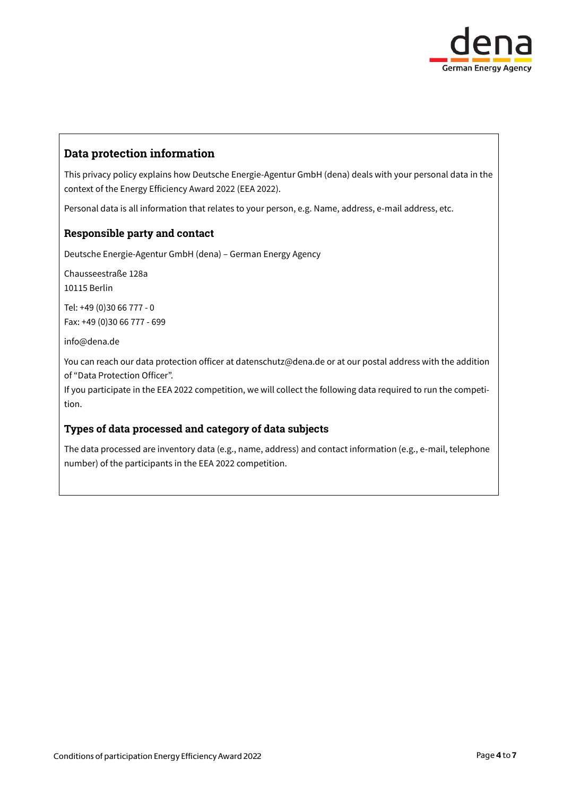

## Data protection information

This privacy policy explains how Deutsche Energie-Agentur GmbH (dena) deals with your personal data in the context of the Energy Efficiency Award 2022 (EEA 2022).

Personal data is all information that relates to your person, e.g. Name, address, e-mail address, etc.

#### Responsible party and contact

Deutsche Energie-Agentur GmbH (dena) – German Energy Agency

Chausseestraße 128a 10115 Berlin

Tel: +49 (0)30 66 777 - 0 Fax: +49 (0)30 66 777 - 699

info@dena.de

You can reach our data protection officer at datenschutz@dena.de or at our postal address with the addition of "Data Protection Officer".

If you participate in the EEA 2022 competition, we will collect the following data required to run the competition.

#### Types of data processed and category of data subjects

The data processed are inventory data (e.g., name, address) and contact information (e.g., e-mail, telephone number) of the participants in the EEA 2022 competition.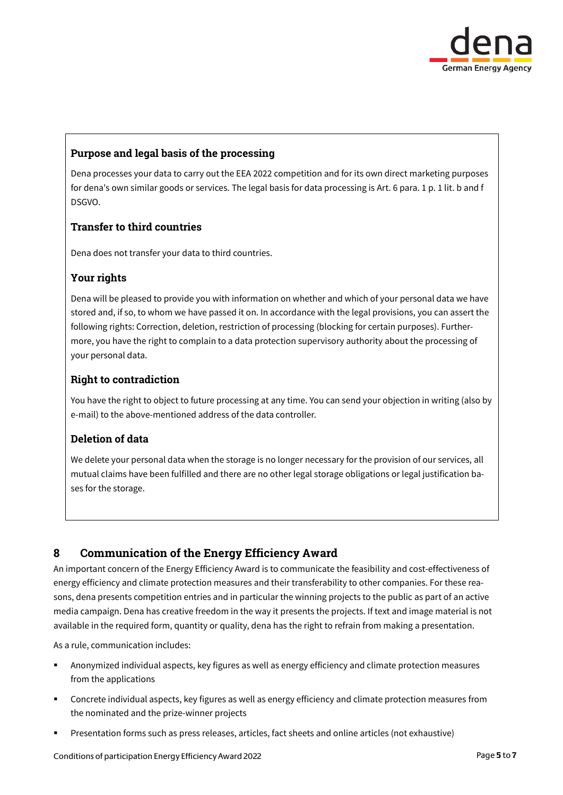

## Purpose and legal basis of the processing

Dena processes your data to carry out the EEA 2022 competition and for its own direct marketing purposes for dena's own similar goods or services. The legal basis for data processing is Art. 6 para. 1 p. 1 lit. b and f DSGVO.

### Transfer to third countries

Dena does not transfer your data to third countries.

#### Your rights

Dena will be pleased to provide you with information on whether and which of your personal data we have stored and, if so, to whom we have passed it on. In accordance with the legal provisions, you can assert the following rights: Correction, deletion, restriction of processing (blocking for certain purposes). Furthermore, you have the right to complain to a data protection supervisory authority about the processing of your personal data.

#### Right to contradiction

You have the right to object to future processing at any time. You can send your objection in writing (also by e-mail) to the above-mentioned address of the data controller.

#### Deletion of data

We delete your personal data when the storage is no longer necessary for the provision of our services, all mutual claims have been fulfilled and there are no other legal storage obligations or legal justification bases for the storage.

## 8 Communication of the Energy Efficiency Award

An important concern of the Energy Efficiency Award is to communicate the feasibility and cost-effectiveness of energy efficiency and climate protection measures and their transferability to other companies. For these reasons, dena presents competition entries and in particular the winning projects to the public as part of an active media campaign. Dena has creative freedom in the way it presents the projects. If text and image material is not available in the required form, quantity or quality, dena has the right to refrain from making a presentation.

As a rule, communication includes:

- Anonymized individual aspects, key figures as well as energy efficiency and climate protection measures from the applications
- Concrete individual aspects, key figures as well as energy efficiency and climate protection measures from the nominated and the prize-winner projects
- Presentation forms such as press releases, articles, fact sheets and online articles (not exhaustive)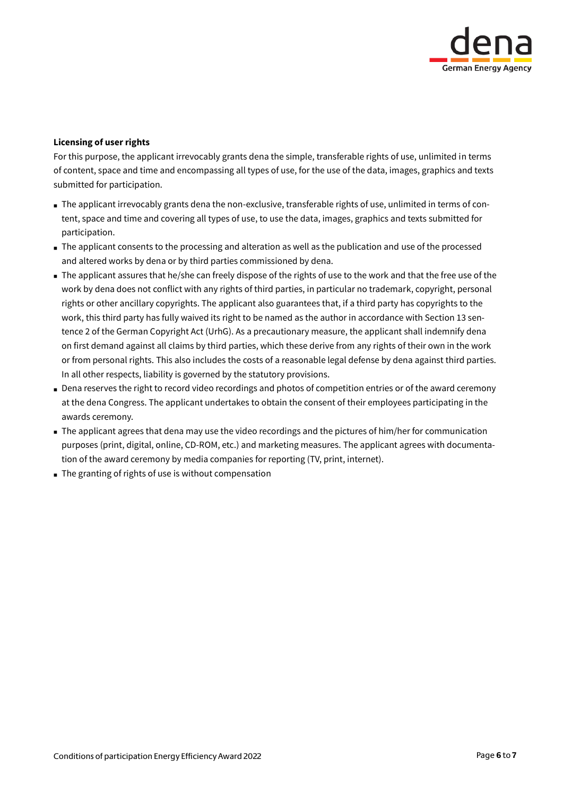

#### **Licensing of user rights**

For this purpose, the applicant irrevocably grants dena the simple, transferable rights of use, unlimited in terms of content, space and time and encompassing all types of use, for the use of the data, images, graphics and texts submitted for participation.

- The applicant irrevocably grants dena the non-exclusive, transferable rights of use, unlimited in terms of content, space and time and covering all types of use, to use the data, images, graphics and texts submitted for participation.
- The applicant consents to the processing and alteration as well as the publication and use of the processed and altered works by dena or by third parties commissioned by dena.
- The applicant assures that he/she can freely dispose of the rights of use to the work and that the free use of the work by dena does not conflict with any rights of third parties, in particular no trademark, copyright, personal rights or other ancillary copyrights. The applicant also guarantees that, if a third party has copyrights to the work, this third party has fully waived its right to be named as the author in accordance with Section 13 sentence 2 of the German Copyright Act (UrhG). As a precautionary measure, the applicant shall indemnify dena on first demand against all claims by third parties, which these derive from any rights of their own in the work or from personal rights. This also includes the costs of a reasonable legal defense by dena against third parties. In all other respects, liability is governed by the statutory provisions.
- Dena reserves the right to record video recordings and photos of competition entries or of the award ceremony at the dena Congress. The applicant undertakes to obtain the consent of their employees participating in the awards ceremony.
- The applicant agrees that dena may use the video recordings and the pictures of him/her for communication purposes (print, digital, online, CD-ROM, etc.) and marketing measures. The applicant agrees with documentation of the award ceremony by media companies for reporting (TV, print, internet).
- The granting of rights of use is without compensation